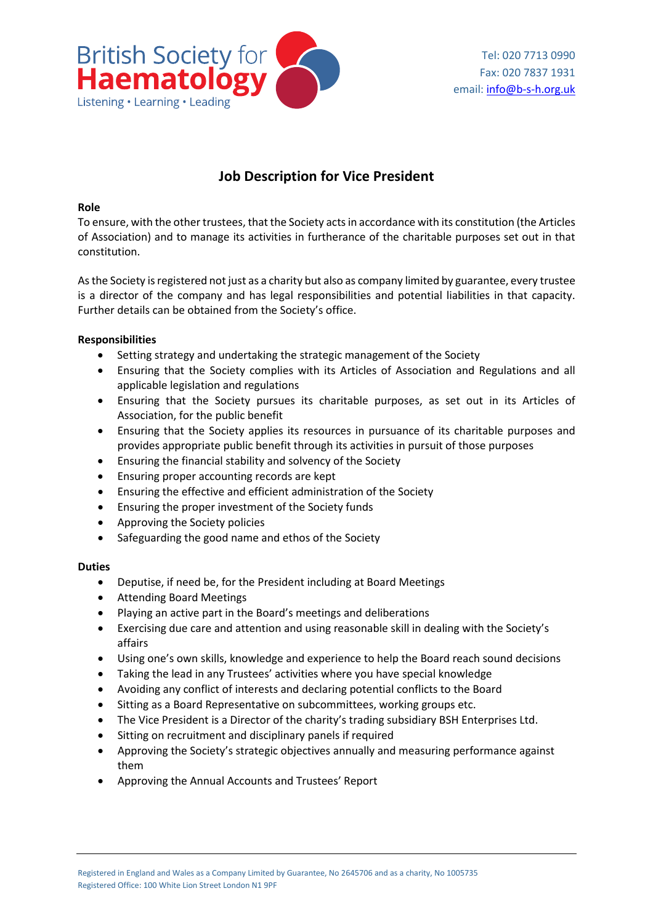

# **Job Description for Vice President**

#### **Role**

To ensure, with the other trustees, that the Society acts in accordance with its constitution (the Articles of Association) and to manage its activities in furtherance of the charitable purposes set out in that constitution.

As the Society is registered not just as a charity but also as company limited by guarantee, every trustee is a director of the company and has legal responsibilities and potential liabilities in that capacity. Further details can be obtained from the Society's office.

## **Responsibilities**

- Setting strategy and undertaking the strategic management of the Society
- Ensuring that the Society complies with its Articles of Association and Regulations and all applicable legislation and regulations
- Ensuring that the Society pursues its charitable purposes, as set out in its Articles of Association, for the public benefit
- Ensuring that the Society applies its resources in pursuance of its charitable purposes and provides appropriate public benefit through its activities in pursuit of those purposes
- Ensuring the financial stability and solvency of the Society
- Ensuring proper accounting records are kept
- Ensuring the effective and efficient administration of the Society
- Ensuring the proper investment of the Society funds
- Approving the Society policies
- Safeguarding the good name and ethos of the Society

## **Duties**

- Deputise, if need be, for the President including at Board Meetings
- Attending Board Meetings
- Playing an active part in the Board's meetings and deliberations
- Exercising due care and attention and using reasonable skill in dealing with the Society's affairs
- Using one's own skills, knowledge and experience to help the Board reach sound decisions
- Taking the lead in any Trustees' activities where you have special knowledge
- Avoiding any conflict of interests and declaring potential conflicts to the Board
- Sitting as a Board Representative on subcommittees, working groups etc.
- The Vice President is a Director of the charity's trading subsidiary BSH Enterprises Ltd.
- Sitting on recruitment and disciplinary panels if required
- Approving the Society's strategic objectives annually and measuring performance against them
- Approving the Annual Accounts and Trustees' Report